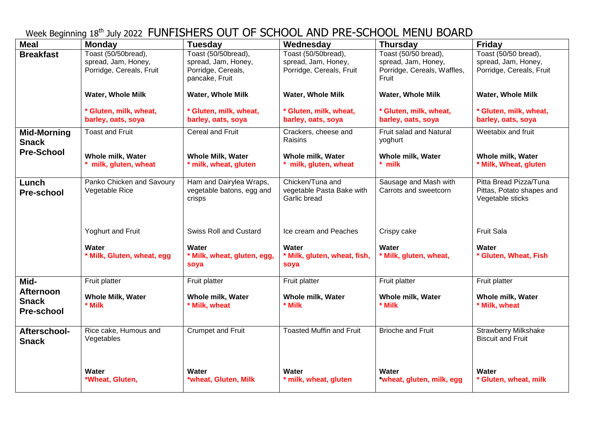Week Beginning 18<sup>th</sup> July 2022 FUNFISHERS OUT OF SCHOOL AND PRE-SCHOOL MENU BOARD

| <b>Meal</b>                                           | <b>Monday</b>                                                          | <b>Tuesday</b>                                                                     | Wednesday                                                              | <b>Thursday</b>                                                                     | <b>Friday</b>                                                           |
|-------------------------------------------------------|------------------------------------------------------------------------|------------------------------------------------------------------------------------|------------------------------------------------------------------------|-------------------------------------------------------------------------------------|-------------------------------------------------------------------------|
| <b>Breakfast</b>                                      | Toast (50/50bread),<br>spread, Jam, Honey,<br>Porridge, Cereals, Fruit | Toast (50/50bread),<br>spread, Jam, Honey,<br>Porridge, Cereals,<br>pancake, Fruit | Toast (50/50bread),<br>spread, Jam, Honey,<br>Porridge, Cereals, Fruit | Toast (50/50 bread),<br>spread, Jam, Honey,<br>Porridge, Cereals, Waffles,<br>Fruit | Toast (50/50 bread),<br>spread, Jam, Honey,<br>Porridge, Cereals, Fruit |
|                                                       | Water, Whole Milk                                                      | <b>Water, Whole Milk</b>                                                           | <b>Water, Whole Milk</b>                                               | <b>Water, Whole Milk</b>                                                            | <b>Water, Whole Milk</b>                                                |
|                                                       | * Gluten, milk, wheat,<br>barley, oats, soya                           | * Gluten, milk, wheat,<br>barley, oats, soya                                       | * Gluten, milk, wheat,<br>barley, oats, soya                           | * Gluten, milk, wheat,<br>barley, oats, soya                                        | * Gluten, milk, wheat,<br>barley, oats, soya                            |
| <b>Mid-Morning</b><br><b>Snack</b>                    | <b>Toast and Fruit</b>                                                 | <b>Cereal and Fruit</b>                                                            | Crackers, cheese and<br>Raisins                                        | Fruit salad and Natural<br>yoghurt                                                  | Weetabix and fruit                                                      |
| <b>Pre-School</b>                                     | Whole milk, Water<br>milk, gluten, wheat                               | <b>Whole Milk, Water</b><br>* milk, wheat, gluten                                  | Whole milk, Water<br>milk, gluten, wheat                               | Whole milk, Water<br>$*$ milk                                                       | Whole milk, Water<br>* Milk, Wheat, gluten                              |
| Lunch<br><b>Pre-school</b>                            | Panko Chicken and Savoury<br>Vegetable Rice                            | Ham and Dairylea Wraps,<br>vegetable batons, egg and<br>crisps                     | Chicken/Tuna and<br>vegetable Pasta Bake with<br>Garlic bread          | Sausage and Mash with<br>Carrots and sweetcorn                                      | Pitta Bread Pizza/Tuna<br>Pittas, Potato shapes and<br>Vegetable sticks |
|                                                       | Yoghurt and Fruit                                                      | <b>Swiss Roll and Custard</b>                                                      | Ice cream and Peaches                                                  | Crispy cake                                                                         | <b>Fruit Sala</b>                                                       |
|                                                       | <b>Water</b><br>* Milk, Gluten, wheat, egg                             | Water<br>* Milk, wheat, gluten, egg,<br>soya                                       | Water<br>* Milk, gluten, wheat, fish,<br>soya                          | Water<br>* Milk, gluten, wheat,                                                     | Water<br>* Gluten, Wheat, Fish                                          |
| Mid-                                                  | Fruit platter                                                          | Fruit platter                                                                      | Fruit platter                                                          | Fruit platter                                                                       | Fruit platter                                                           |
| <b>Afternoon</b><br><b>Snack</b><br><b>Pre-school</b> | <b>Whole Milk, Water</b><br>* Milk                                     | Whole milk, Water<br>* Milk, wheat                                                 | Whole milk, Water<br>* Milk                                            | Whole milk, Water<br>* Milk                                                         | Whole milk, Water<br>* Milk, wheat                                      |
| Afterschool-<br><b>Snack</b>                          | Rice cake, Humous and<br>Vegetables                                    | <b>Crumpet and Fruit</b>                                                           | <b>Toasted Muffin and Fruit</b>                                        | <b>Brioche and Fruit</b>                                                            | <b>Strawberry Milkshake</b><br><b>Biscuit and Fruit</b>                 |
|                                                       | <b>Water</b><br>*Wheat, Gluten,                                        | Water<br>*wheat, Gluten, Milk                                                      | Water<br>* milk, wheat, gluten                                         | Water<br>*wheat, gluten, milk, egg                                                  | Water<br>* Gluten, wheat, milk                                          |